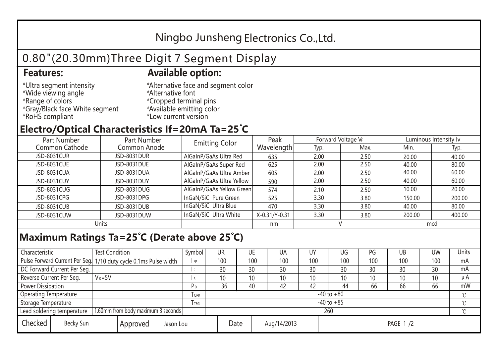## Ningbo Junsheng Electronics Co.,Ltd.

# 0.80"(20.30mm)Three Digit 7 Segment Display

#### **Features: Available option:**

- \*Ultra segment intensity \*Wide viewing angle \*Range of colors \*Gray/Black face White segment \*RoHS compliant
- \*Alternative face and segment color \*Alternative font \*Cropped terminal pins \*Available emitting color \*Low current version

### **Electro/Optical Characteristics If=20mA Ta=25 C**

| Part Number    | Part Number  | <b>Emitting Color</b>     | Peak          | Forward Voltage VF |      | Luminous Intensity lv |        |  |
|----------------|--------------|---------------------------|---------------|--------------------|------|-----------------------|--------|--|
| Common Cathode | Common Anode |                           | Wavelength    | Typ.               | Max. | Min.                  | Typ.   |  |
| JSD-8031CUR    | JSD-8031DUR  | AlGaInP/GaAs Ultra Red    | 635           | 2.00               | 2.50 | 20.00                 | 40.00  |  |
| JSD-8031CUE    | JSD-8031DUE  | AlGaInP/GaAs Super Red    | 625           | 2.00               | 2.50 | 40.00                 | 80.00  |  |
| JSD-8031CUA    | JSD-8031DUA  | AlGaInP/GaAs Ultra Amber  | 605           | 2.00               | 2.50 | 40.00                 | 60.00  |  |
| JSD-8031CUY    | JSD-8031DUY  | AlGaInP/GaAs Ultra Yellow | 590           | 2.00               | 2.50 | 40.00                 | 60.00  |  |
| JSD-8031CUG    | JSD-8031DUG  | AlGaInP/GaAs Yellow Green | 574           | 2.10               | 2.50 | 10.00                 | 20.00  |  |
| JSD-8031CPG    | JSD-8031DPG  | InGaN/SiC Pure Green      | 525           | 3.30               | 3.80 | 150.00                | 200.00 |  |
| JSD-8031CUB    | JSD-8031DUB  | InGaN/SiC Ultra Blue      | 470           | 3.30               | 3.80 | 40.00                 | 80.00  |  |
| JSD-8031CUW    | JSD-8031DUW  | InGaN/SiC Ultra White     | X-0.31/Y-0.31 | 3.30               | 3.80 | 200.00                | 400.00 |  |
| Units          |              |                           | nm            |                    |      | mcd                   |        |  |

#### **Maximum Ratings Ta=25°C (Derate above 25°C)**

| Characteristic                                |            | <b>Test Condition</b><br>Symbol                                  |                     |                | <b>UR</b>       |  | UE       | UA  | UY  | UG  | PG  | UB              | <b>UW</b> | <b>Units</b> |
|-----------------------------------------------|------------|------------------------------------------------------------------|---------------------|----------------|-----------------|--|----------|-----|-----|-----|-----|-----------------|-----------|--------------|
|                                               |            | Pulse Forward Current Per Seg. 1/10 duty cycle 0.1ms Pulse width |                     |                | 100             |  | 100      | 100 | 100 | 100 | 100 | 100             | 100       | mA           |
| DC Forward Current Per Seg.                   |            |                                                                  |                     |                | 30              |  | 30       | 30  | 30  | 30  | 30  | 30              | 30        | mA           |
| Reverse Current Per Seg.                      | $V_R = 5V$ |                                                                  |                     |                | 10 <sup>°</sup> |  | 10       | 10  | 10  | 10  | 10  | 10 <sup>°</sup> | 10        | $\mu$ A      |
| <b>Power Dissipation</b>                      |            |                                                                  |                     |                | 36              |  | 40       | 42  | 42  | 44  | 66  | 66              | 66        | mW           |
| <b>Operating Temperature</b>                  |            |                                                                  | <b>OPR</b>          | $-40$ to $+80$ |                 |  |          |     |     |     |     |                 | $\sim$    |              |
| Storage Temperature                           |            | l tsg                                                            | $-40$ to $+85$      |                |                 |  |          |     |     |     |     | $\gamma$        |           |              |
| Lead soldering temperature                    |            | 1.60mm from body maximum 3 seconds                               |                     |                | 260<br>$\gamma$ |  |          |     |     |     |     |                 |           |              |
| Checked<br>Becky Sun<br>Approved<br>Jason Lou |            |                                                                  | Date<br>Aug/14/2013 |                |                 |  | PAGE 1/2 |     |     |     |     |                 |           |              |